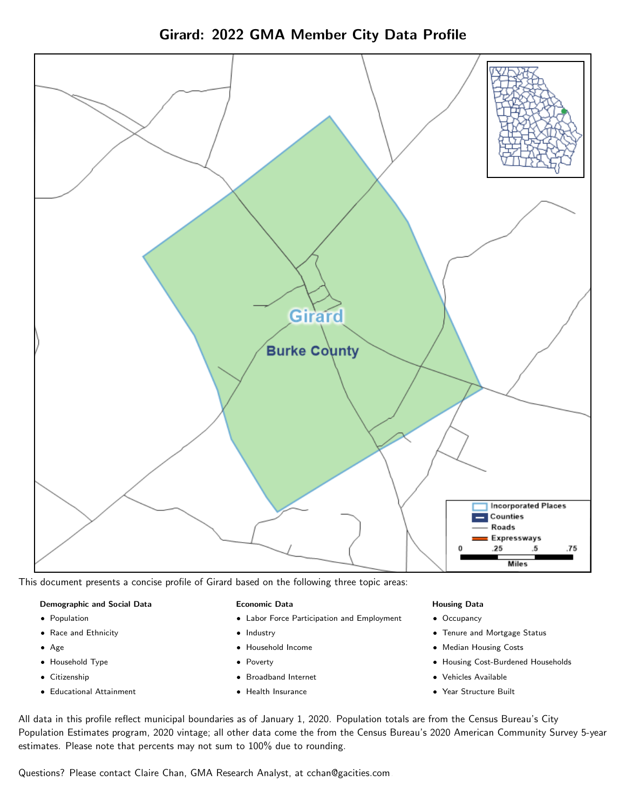



This document presents a concise profile of Girard based on the following three topic areas:

### Demographic and Social Data

- **•** Population
- Race and Ethnicity
- Age
- Household Type
- **Citizenship**
- Educational Attainment

### Economic Data

- Labor Force Participation and Employment
- Industry
- Household Income
- Poverty
- Broadband Internet
- Health Insurance

### Housing Data

- Occupancy
- Tenure and Mortgage Status
- Median Housing Costs
- Housing Cost-Burdened Households
- Vehicles Available
- Year Structure Built

All data in this profile reflect municipal boundaries as of January 1, 2020. Population totals are from the Census Bureau's City Population Estimates program, 2020 vintage; all other data come the from the Census Bureau's 2020 American Community Survey 5-year estimates. Please note that percents may not sum to 100% due to rounding.

Questions? Please contact Claire Chan, GMA Research Analyst, at [cchan@gacities.com.](mailto:cchan@gacities.com)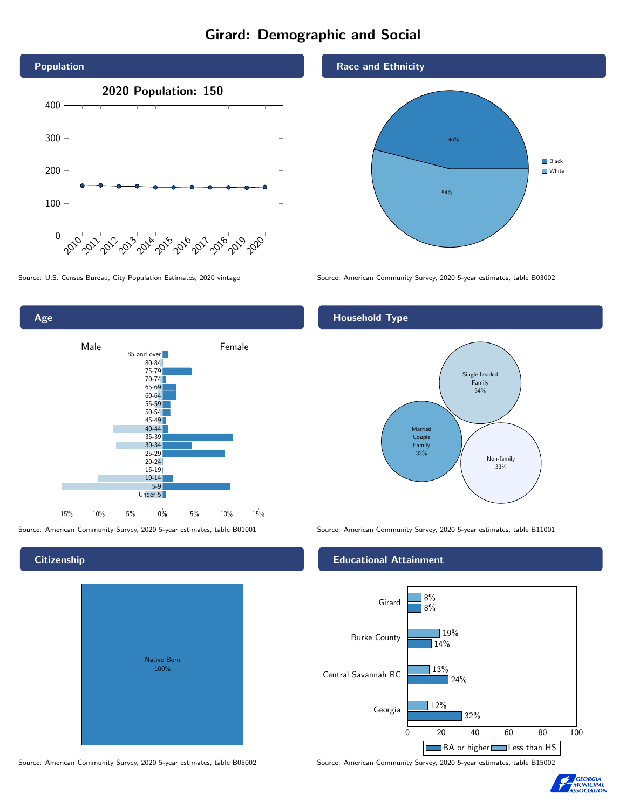# Girard: Demographic and Social





# **Citizenship**

| <b>Native Born</b><br>100% |  |
|----------------------------|--|

Race and Ethnicity



Source: U.S. Census Bureau, City Population Estimates, 2020 vintage Source: American Community Survey, 2020 5-year estimates, table B03002

# Household Type



Source: American Community Survey, 2020 5-year estimates, table B01001 Source: American Community Survey, 2020 5-year estimates, table B11001

## Educational Attainment



Source: American Community Survey, 2020 5-year estimates, table B05002 Source: American Community Survey, 2020 5-year estimates, table B15002

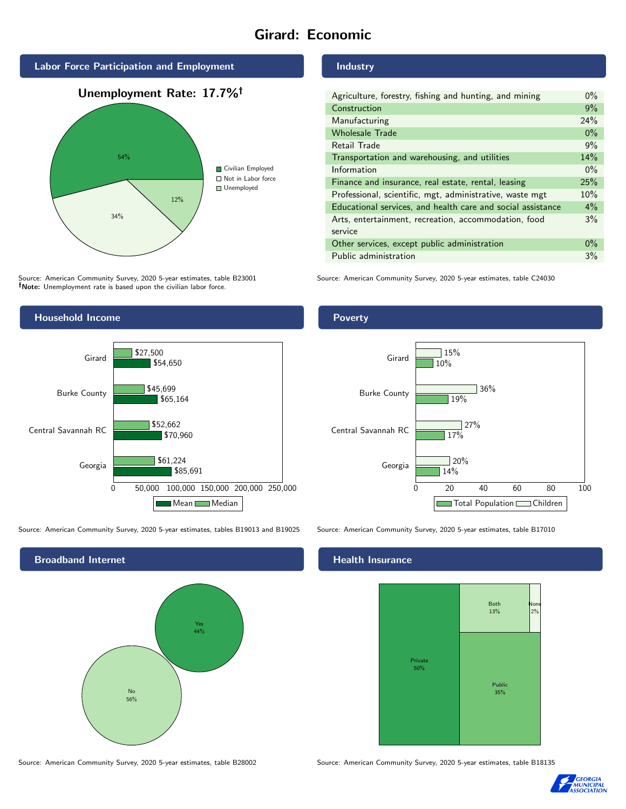# Girard: Economic



Source: American Community Survey, 2020 5-year estimates, table B23001 Note: Unemployment rate is based upon the civilian labor force.

## Industry

| Agriculture, forestry, fishing and hunting, and mining      | $0\%$ |
|-------------------------------------------------------------|-------|
| Construction                                                | 9%    |
| Manufacturing                                               | 24%   |
| <b>Wholesale Trade</b>                                      | $0\%$ |
| Retail Trade                                                | 9%    |
| Transportation and warehousing, and utilities               |       |
| Information                                                 | $0\%$ |
| Finance and insurance, real estate, rental, leasing         |       |
| Professional, scientific, mgt, administrative, waste mgt    |       |
| Educational services, and health care and social assistance | 4%    |
| Arts, entertainment, recreation, accommodation, food        | 3%    |
| service                                                     |       |
| Other services, except public administration                |       |
| Public administration                                       |       |

Source: American Community Survey, 2020 5-year estimates, table C24030



Source: American Community Survey, 2020 5-year estimates, tables B19013 and B19025 Source: American Community Survey, 2020 5-year estimates, table B17010



Source: American Community Survey, 2020 5-year estimates, table B28002 Source: American Community Survey, 2020 5-year estimates, table B18135

Poverty



## Health Insurance